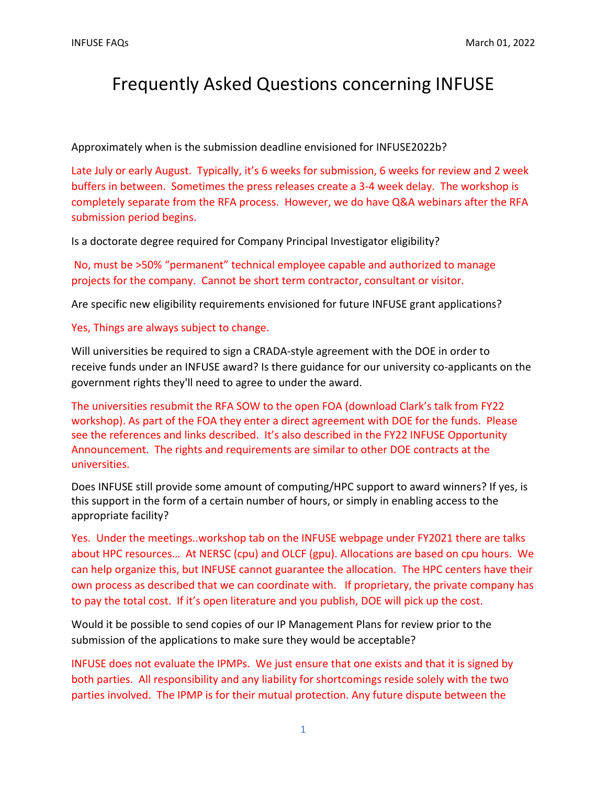## Frequently Asked Questions concerning INFUSE

Approximately when is the submission deadline envisioned for INFUSE2022b?

Late July or early August. Typically, it's 6 weeks for submission, 6 weeks for review and 2 week buffers in between. Sometimes the press releases create a 3-4 week delay. The workshop is completely separate from the RFA process. However, we do have Q&A webinars after the RFA submission period begins.

Is a doctorate degree required for Company Principal Investigator eligibility?

No, must be >50% "permanent" technical employee capable and authorized to manage projects for the company. Cannot be short term contractor, consultant or visitor.

Are specific new eligibility requirements envisioned for future INFUSE grant applications?

Yes, Things are always subject to change.

Will universities be required to sign a CRADA-style agreement with the DOE in order to receive funds under an INFUSE award? Is there guidance for our university co-applicants on the government rights they'll need to agree to under the award.

The universities resubmit the RFA SOW to the open FOA (download Clark's talk from FY22 workshop). As part of the FOA they enter a direct agreement with DOE for the funds. Please see the references and links described. It's also described in the FY22 INFUSE Opportunity Announcement. The rights and requirements are similar to other DOE contracts at the universities.

Does INFUSE still provide some amount of computing/HPC support to award winners? If yes, is this support in the form of a certain number of hours, or simply in enabling access to the appropriate facility?

Yes. Under the meetings..workshop tab on the INFUSE webpage under FY2021 there are talks about HPC resources… At NERSC (cpu) and OLCF (gpu). Allocations are based on cpu hours. We can help organize this, but INFUSE cannot guarantee the allocation. The HPC centers have their own process as described that we can coordinate with. If proprietary, the private company has to pay the total cost. If it's open literature and you publish, DOE will pick up the cost.

Would it be possible to send copies of our IP Management Plans for review prior to the submission of the applications to make sure they would be acceptable?

INFUSE does not evaluate the IPMPs. We just ensure that one exists and that it is signed by both parties. All responsibility and any liability for shortcomings reside solely with the two parties involved. The IPMP is for their mutual protection. Any future dispute between the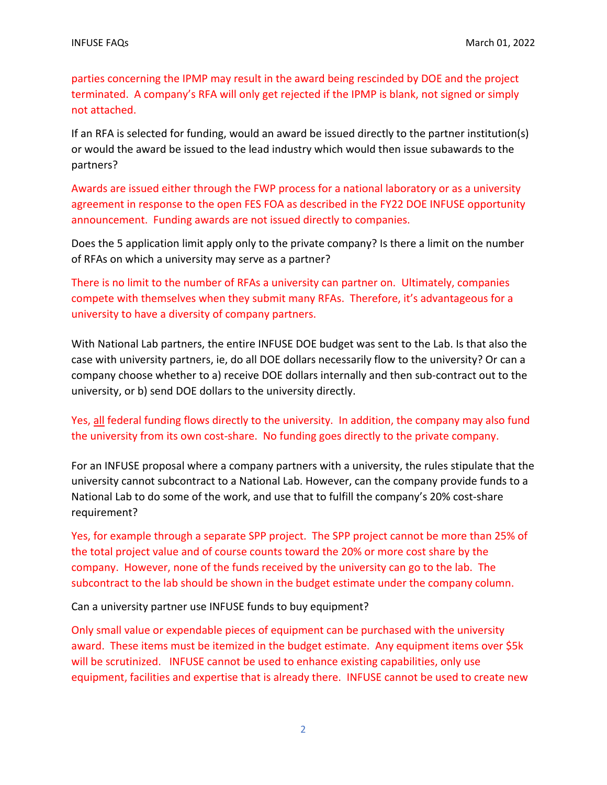parties concerning the IPMP may result in the award being rescinded by DOE and the project terminated. A company's RFA will only get rejected if the IPMP is blank, not signed or simply not attached.

If an RFA is selected for funding, would an award be issued directly to the partner institution(s) or would the award be issued to the lead industry which would then issue subawards to the partners?

Awards are issued either through the FWP process for a national laboratory or as a university agreement in response to the open FES FOA as described in the FY22 DOE INFUSE opportunity announcement. Funding awards are not issued directly to companies.

Does the 5 application limit apply only to the private company? Is there a limit on the number of RFAs on which a university may serve as a partner?

There is no limit to the number of RFAs a university can partner on. Ultimately, companies compete with themselves when they submit many RFAs. Therefore, it's advantageous for a university to have a diversity of company partners.

With National Lab partners, the entire INFUSE DOE budget was sent to the Lab. Is that also the case with university partners, ie, do all DOE dollars necessarily flow to the university? Or can a company choose whether to a) receive DOE dollars internally and then sub-contract out to the university, or b) send DOE dollars to the university directly.

## Yes, all federal funding flows directly to the university. In addition, the company may also fund the university from its own cost-share. No funding goes directly to the private company.

For an INFUSE proposal where a company partners with a university, the rules stipulate that the university cannot subcontract to a National Lab. However, can the company provide funds to a National Lab to do some of the work, and use that to fulfill the company's 20% cost-share requirement?

Yes, for example through a separate SPP project. The SPP project cannot be more than 25% of the total project value and of course counts toward the 20% or more cost share by the company. However, none of the funds received by the university can go to the lab. The subcontract to the lab should be shown in the budget estimate under the company column.

Can a university partner use INFUSE funds to buy equipment?

Only small value or expendable pieces of equipment can be purchased with the university award. These items must be itemized in the budget estimate. Any equipment items over \$5k will be scrutinized. INFUSE cannot be used to enhance existing capabilities, only use equipment, facilities and expertise that is already there. INFUSE cannot be used to create new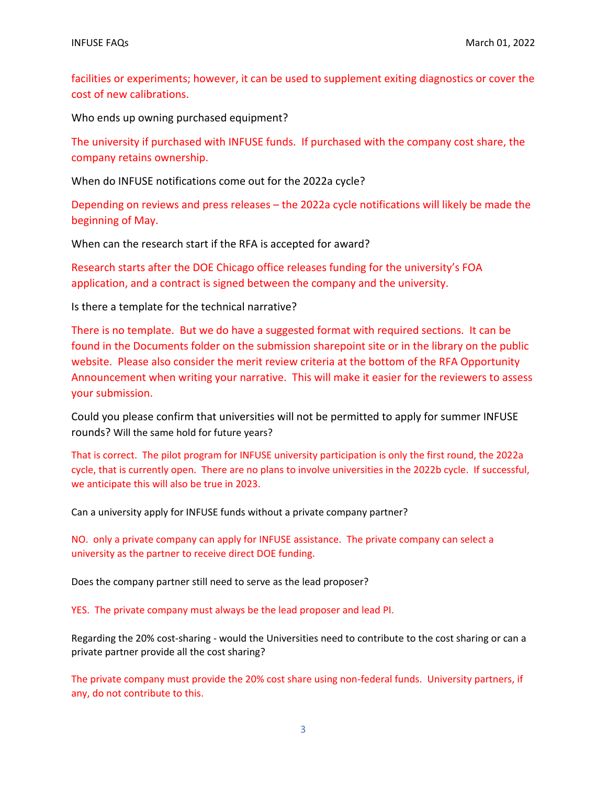facilities or experiments; however, it can be used to supplement exiting diagnostics or cover the cost of new calibrations.

Who ends up owning purchased equipment?

The university if purchased with INFUSE funds. If purchased with the company cost share, the company retains ownership.

When do INFUSE notifications come out for the 2022a cycle?

Depending on reviews and press releases – the 2022a cycle notifications will likely be made the beginning of May.

When can the research start if the RFA is accepted for award?

Research starts after the DOE Chicago office releases funding for the university's FOA application, and a contract is signed between the company and the university.

Is there a template for the technical narrative?

There is no template. But we do have a suggested format with required sections. It can be found in the Documents folder on the submission sharepoint site or in the library on the public website. Please also consider the merit review criteria at the bottom of the RFA Opportunity Announcement when writing your narrative. This will make it easier for the reviewers to assess your submission.

Could you please confirm that universities will not be permitted to apply for summer INFUSE rounds? Will the same hold for future years?

That is correct. The pilot program for INFUSE university participation is only the first round, the 2022a cycle, that is currently open. There are no plans to involve universities in the 2022b cycle. If successful, we anticipate this will also be true in 2023.

Can a university apply for INFUSE funds without a private company partner?

NO. only a private company can apply for INFUSE assistance. The private company can select a university as the partner to receive direct DOE funding.

Does the company partner still need to serve as the lead proposer?

YES. The private company must always be the lead proposer and lead PI.

Regarding the 20% cost-sharing - would the Universities need to contribute to the cost sharing or can a private partner provide all the cost sharing?

The private company must provide the 20% cost share using non-federal funds. University partners, if any, do not contribute to this.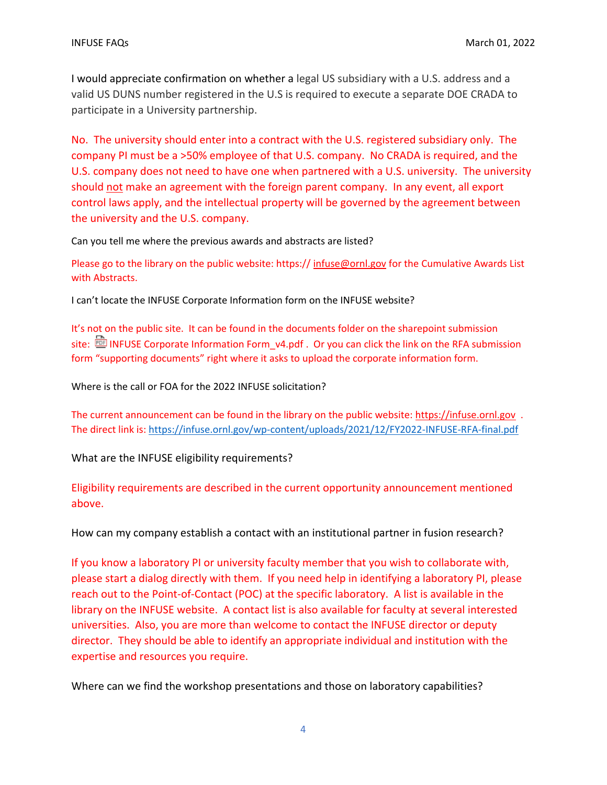I would appreciate confirmation on whether a legal US subsidiary with a U.S. address and a valid US DUNS number registered in the U.S is required to execute a separate DOE CRADA to participate in a University partnership.

No. The university should enter into a contract with the U.S. registered subsidiary only. The company PI must be a >50% employee of that U.S. company. No CRADA is required, and the U.S. company does not need to have one when partnered with a U.S. university. The university should not make an agreement with the foreign parent company. In any event, all export control laws apply, and the intellectual property will be governed by the agreement between the university and the U.S. company.

Can you tell me where the previous awards and abstracts are listed?

Please go to the library on the public website: https:// [infuse@ornl.gov](mailto:infuse@ornl.gov) for the Cumulative Awards List with Abstracts.

I can't locate the INFUSE Corporate Information form on the INFUSE website?

It's not on the public site. It can be found in the documents folder on the sharepoint submission site: **ID [INFUSE Corporate Information Form\\_v4.pdf](https://ornl.sharepoint.com/sites/fusionfirst_low/Shared%20Documents/Forms/AllItems.aspx?viewpath=%2Fsites%2Ffusionfirst%5Flow%2FShared%20Documents%2FForms%2FAllItems%2Easpx&id=%2Fsites%2Ffusionfirst%5Flow%2FShared%20Documents%2FINFUSE%20Corporate%20Information%20Form%5Fv4%2Epdf&parent=%2Fsites%2Ffusionfirst%5Flow%2FShared%20Documents)** . Or you can click the link on the RFA submission form "supporting documents" right where it asks to upload the corporate information form.

Where is the call or FOA for the 2022 INFUSE solicitation?

The current announcement can be found in the library on the public website: [https://infuse.ornl.gov](https://infuse.ornl.gov/) . The direct link is:<https://infuse.ornl.gov/wp-content/uploads/2021/12/FY2022-INFUSE-RFA-final.pdf>

What are the INFUSE eligibility requirements?

Eligibility requirements are described in the current opportunity announcement mentioned above.

How can my company establish a contact with an institutional partner in fusion research?

If you know a laboratory PI or university faculty member that you wish to collaborate with, please start a dialog directly with them. If you need help in identifying a laboratory PI, please reach out to the Point-of-Contact (POC) at the specific laboratory. A list is available in the library on the INFUSE website. A contact list is also available for faculty at several interested universities. Also, you are more than welcome to contact the INFUSE director or deputy director. They should be able to identify an appropriate individual and institution with the expertise and resources you require.

Where can we find the workshop presentations and those on laboratory capabilities?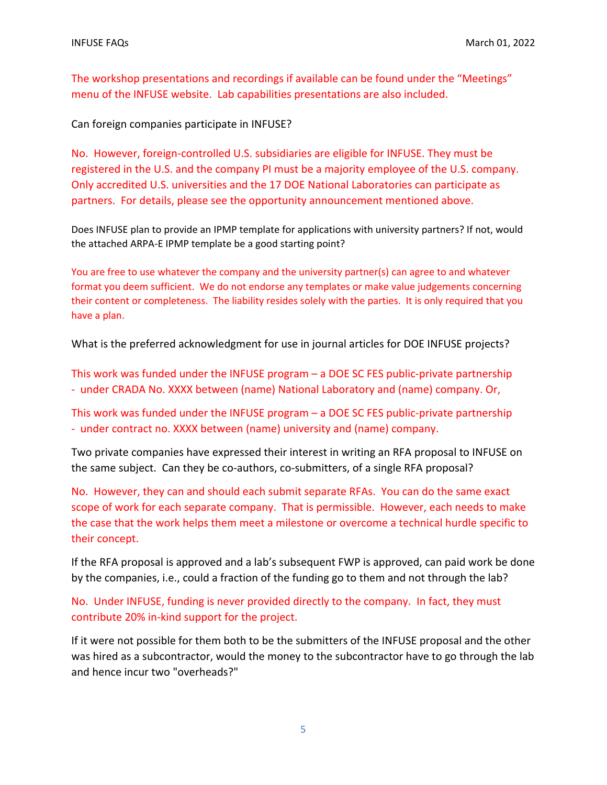The workshop presentations and recordings if available can be found under the "Meetings" menu of the INFUSE website. Lab capabilities presentations are also included.

Can foreign companies participate in INFUSE?

No. However, foreign-controlled U.S. subsidiaries are eligible for INFUSE. They must be registered in the U.S. and the company PI must be a majority employee of the U.S. company. Only accredited U.S. universities and the 17 DOE National Laboratories can participate as partners. For details, please see the opportunity announcement mentioned above.

Does INFUSE plan to provide an IPMP template for applications with university partners? If not, would the attached ARPA-E IPMP template be a good starting point?

You are free to use whatever the company and the university partner(s) can agree to and whatever format you deem sufficient. We do not endorse any templates or make value judgements concerning their content or completeness. The liability resides solely with the parties. It is only required that you have a plan.

What is the preferred acknowledgment for use in journal articles for DOE INFUSE projects?

This work was funded under the INFUSE program – a DOE SC FES public-private partnership - under CRADA No. XXXX between (name) National Laboratory and (name) company. Or,

This work was funded under the INFUSE program – a DOE SC FES public-private partnership - under contract no. XXXX between (name) university and (name) company.

Two private companies have expressed their interest in writing an RFA proposal to INFUSE on the same subject. Can they be co-authors, co-submitters, of a single RFA proposal?

No. However, they can and should each submit separate RFAs. You can do the same exact scope of work for each separate company. That is permissible. However, each needs to make the case that the work helps them meet a milestone or overcome a technical hurdle specific to their concept.

If the RFA proposal is approved and a lab's subsequent FWP is approved, can paid work be done by the companies, i.e., could a fraction of the funding go to them and not through the lab?

No. Under INFUSE, funding is never provided directly to the company. In fact, they must contribute 20% in-kind support for the project.

If it were not possible for them both to be the submitters of the INFUSE proposal and the other was hired as a subcontractor, would the money to the subcontractor have to go through the lab and hence incur two "overheads?"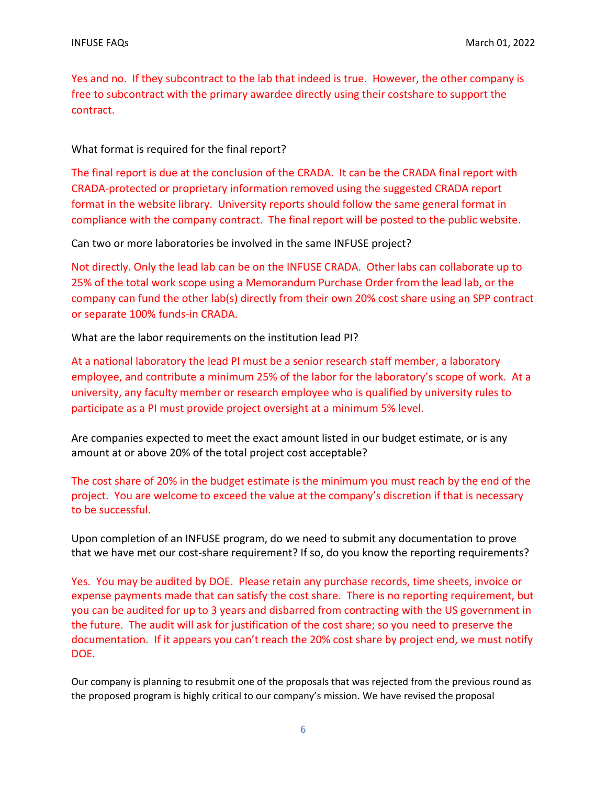Yes and no. If they subcontract to the lab that indeed is true. However, the other company is free to subcontract with the primary awardee directly using their costshare to support the contract.

What format is required for the final report?

The final report is due at the conclusion of the CRADA. It can be the CRADA final report with CRADA-protected or proprietary information removed using the suggested CRADA report format in the website library. University reports should follow the same general format in compliance with the company contract. The final report will be posted to the public website.

Can two or more laboratories be involved in the same INFUSE project?

Not directly. Only the lead lab can be on the INFUSE CRADA. Other labs can collaborate up to 25% of the total work scope using a Memorandum Purchase Order from the lead lab, or the company can fund the other lab(s) directly from their own 20% cost share using an SPP contract or separate 100% funds-in CRADA.

What are the labor requirements on the institution lead PI?

At a national laboratory the lead PI must be a senior research staff member, a laboratory employee, and contribute a minimum 25% of the labor for the laboratory's scope of work. At a university, any faculty member or research employee who is qualified by university rules to participate as a PI must provide project oversight at a minimum 5% level.

Are companies expected to meet the exact amount listed in our budget estimate, or is any amount at or above 20% of the total project cost acceptable?

The cost share of 20% in the budget estimate is the minimum you must reach by the end of the project. You are welcome to exceed the value at the company's discretion if that is necessary to be successful.

Upon completion of an INFUSE program, do we need to submit any documentation to prove that we have met our cost-share requirement? If so, do you know the reporting requirements?

Yes. You may be audited by DOE. Please retain any purchase records, time sheets, invoice or expense payments made that can satisfy the cost share. There is no reporting requirement, but you can be audited for up to 3 years and disbarred from contracting with the US government in the future. The audit will ask for justification of the cost share; so you need to preserve the documentation. If it appears you can't reach the 20% cost share by project end, we must notify DOE.

Our company is planning to resubmit one of the proposals that was rejected from the previous round as the proposed program is highly critical to our company's mission. We have revised the proposal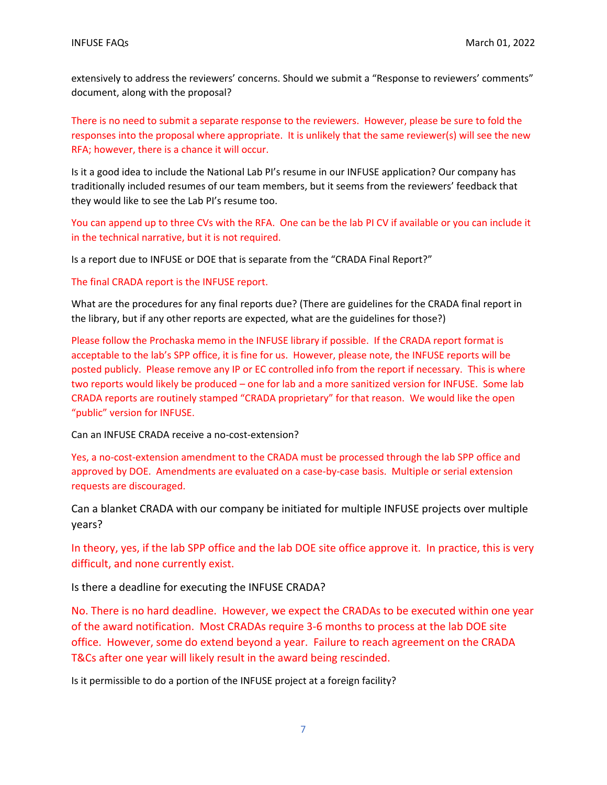extensively to address the reviewers' concerns. Should we submit a "Response to reviewers' comments" document, along with the proposal?

There is no need to submit a separate response to the reviewers. However, please be sure to fold the responses into the proposal where appropriate. It is unlikely that the same reviewer(s) will see the new RFA; however, there is a chance it will occur.

Is it a good idea to include the National Lab PI's resume in our INFUSE application? Our company has traditionally included resumes of our team members, but it seems from the reviewers' feedback that they would like to see the Lab PI's resume too.

You can append up to three CVs with the RFA. One can be the lab PI CV if available or you can include it in the technical narrative, but it is not required.

Is a report due to INFUSE or DOE that is separate from the "CRADA Final Report?"

The final CRADA report is the INFUSE report.

What are the procedures for any final reports due? (There are guidelines for the CRADA final report in the library, but if any other reports are expected, what are the guidelines for those?)

Please follow the Prochaska memo in the INFUSE library if possible. If the CRADA report format is acceptable to the lab's SPP office, it is fine for us. However, please note, the INFUSE reports will be posted publicly. Please remove any IP or EC controlled info from the report if necessary. This is where two reports would likely be produced – one for lab and a more sanitized version for INFUSE. Some lab CRADA reports are routinely stamped "CRADA proprietary" for that reason. We would like the open "public" version for INFUSE.

Can an INFUSE CRADA receive a no-cost-extension?

Yes, a no-cost-extension amendment to the CRADA must be processed through the lab SPP office and approved by DOE. Amendments are evaluated on a case-by-case basis. Multiple or serial extension requests are discouraged.

Can a blanket CRADA with our company be initiated for multiple INFUSE projects over multiple years?

In theory, yes, if the lab SPP office and the lab DOE site office approve it. In practice, this is very difficult, and none currently exist.

Is there a deadline for executing the INFUSE CRADA?

No. There is no hard deadline. However, we expect the CRADAs to be executed within one year of the award notification. Most CRADAs require 3-6 months to process at the lab DOE site office. However, some do extend beyond a year. Failure to reach agreement on the CRADA T&Cs after one year will likely result in the award being rescinded.

Is it permissible to do a portion of the INFUSE project at a foreign facility?